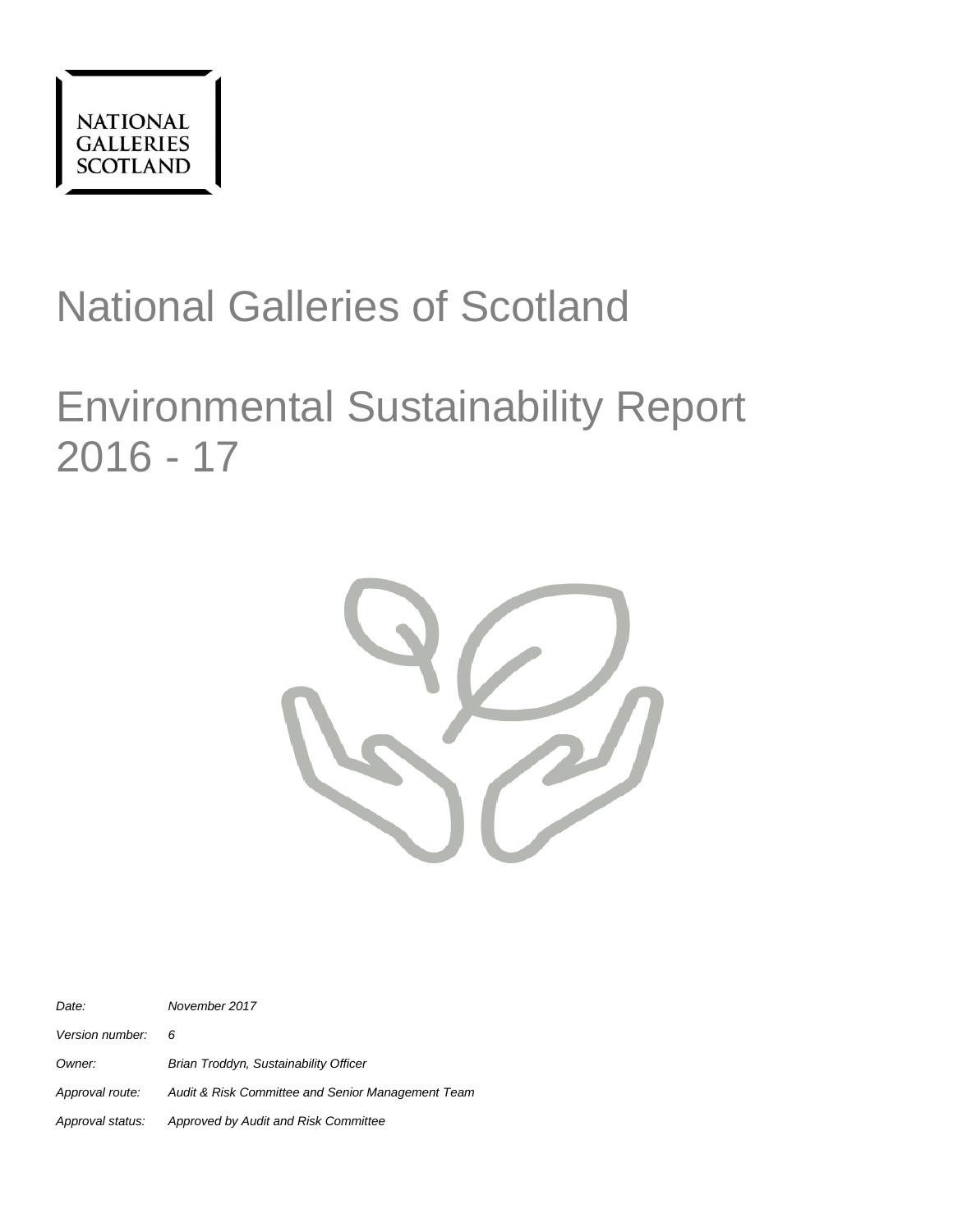

# National Galleries of Scotland

# Environmental Sustainability Report 2016 - 17



*Date: November 2017 Version number: 6 Owner: Brian Troddyn, Sustainability Officer Approval route: Audit & Risk Committee and Senior Management Team Approval status: Approved by Audit and Risk Committee*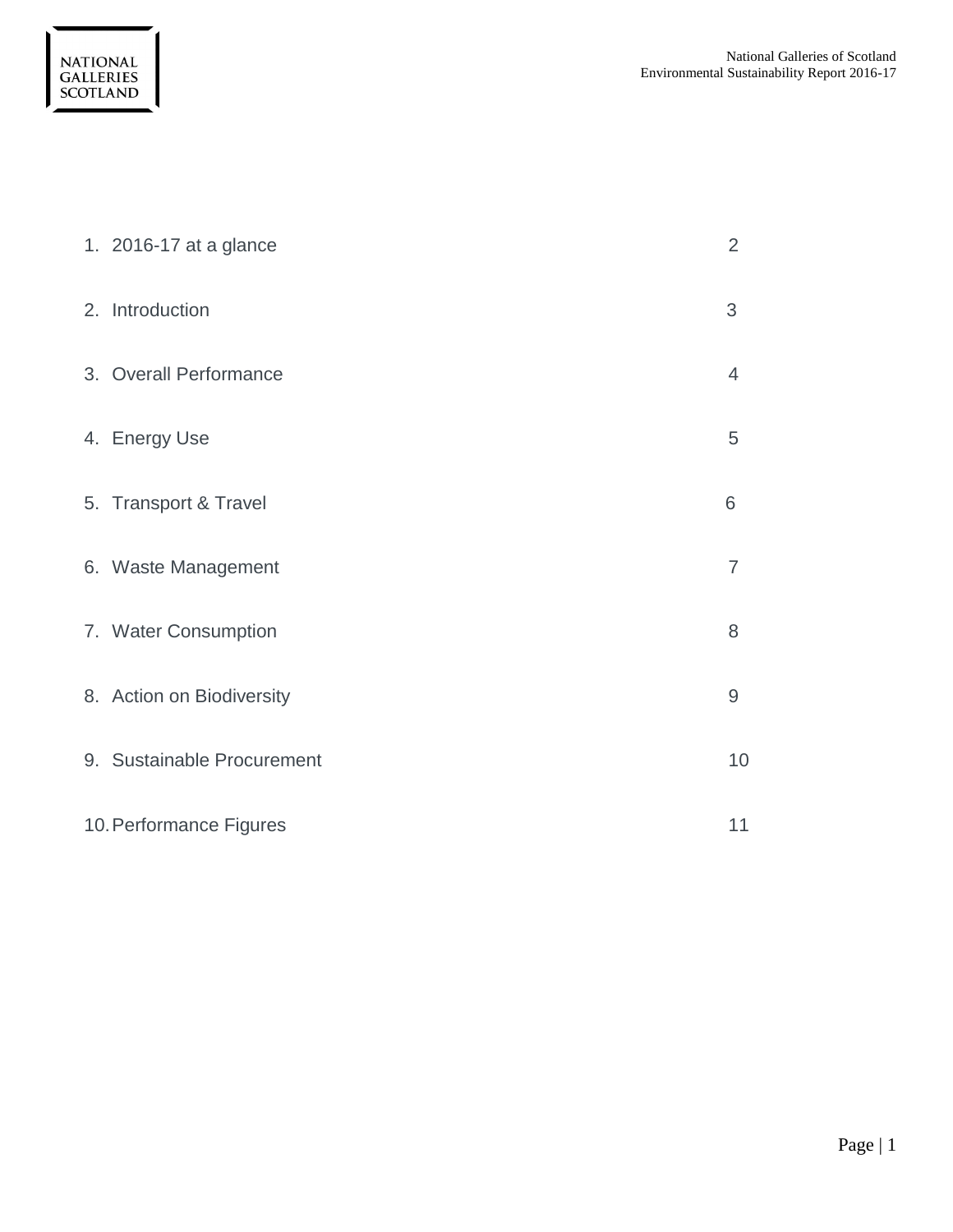| 1. 2016-17 at a glance     | 2              |
|----------------------------|----------------|
| 2. Introduction            | 3              |
| 3. Overall Performance     | $\overline{4}$ |
| 4. Energy Use              | 5              |
| 5. Transport & Travel      | 6              |
| 6. Waste Management        | $\overline{7}$ |
| 7. Water Consumption       | 8              |
| 8. Action on Biodiversity  | 9              |
| 9. Sustainable Procurement | 10             |
| 10. Performance Figures    | 11             |

NATIONAL<br>GALLERIES<br>SCOTLAND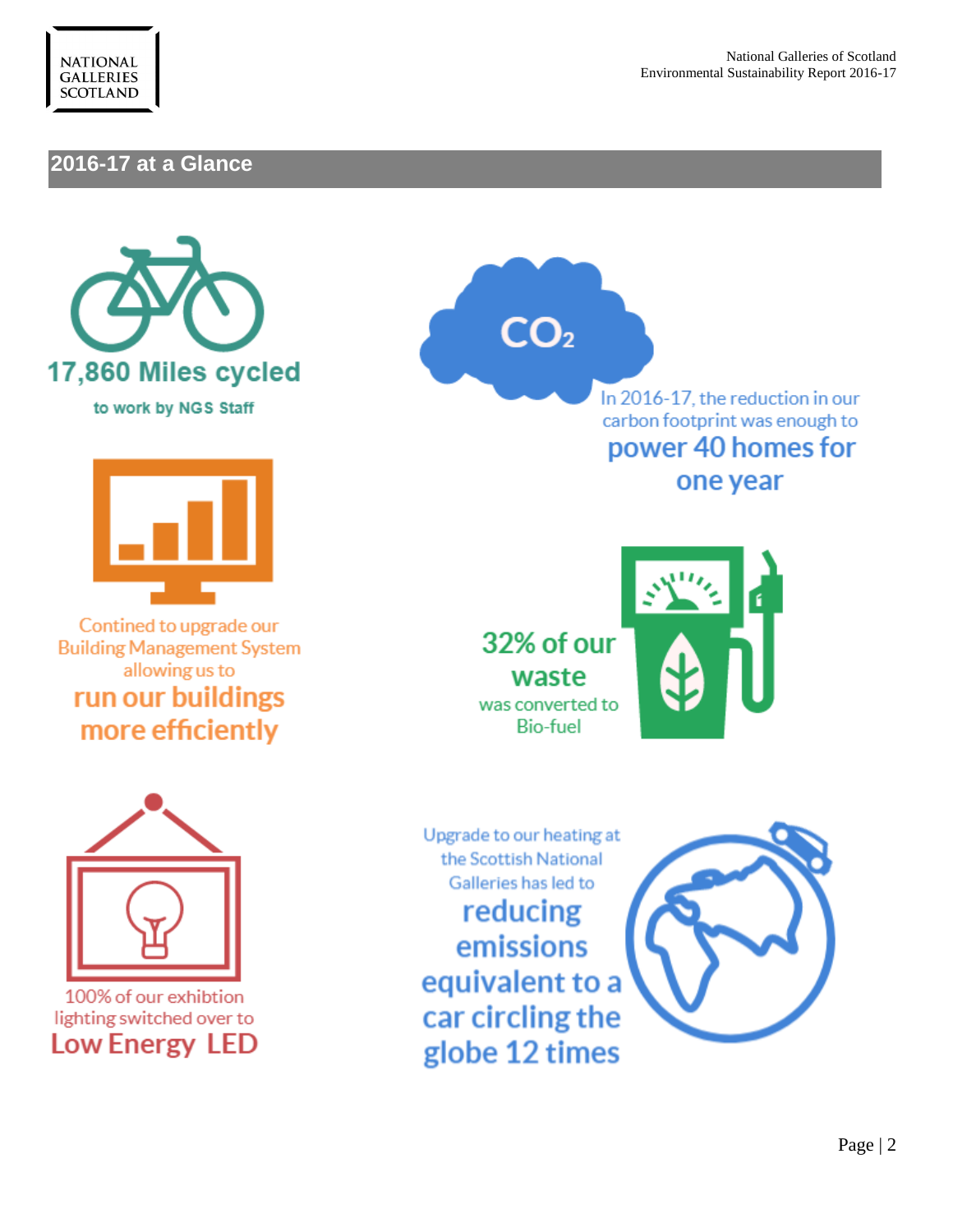

# **2016-17 at a Glance**





Contined to upgrade our **Building Management System** allowing us to run our buildings more efficiently



In 2016-17, the reduction in our carbon footprint was enough to power 40 homes for one year

32% of our waste was converted to **Bio-fuel** 





lighting switched over to **Low Energy LED** 

Upgrade to our heating at the Scottish National Galleries has led to reducing emissions equivalent to a car circling the globe 12 times

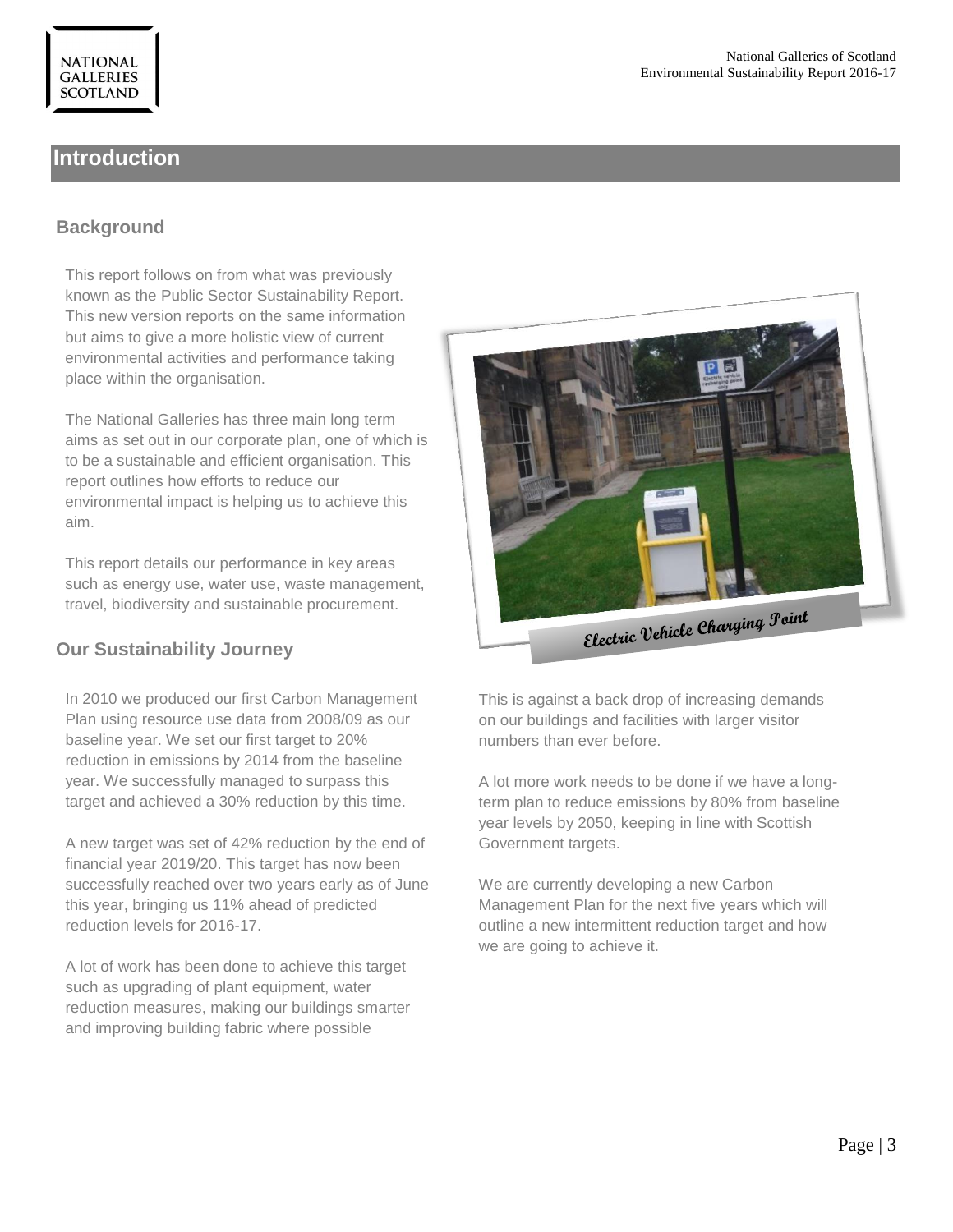# **Introduction**

### **Background**

This report follows on from what was previously known as the Public Sector Sustainability Report. This new version reports on the same information but aims to give a more holistic view of current environmental activities and performance taking place within the organisation.

The National Galleries has three main long term aims as set out in our corporate plan, one of which is to be a sustainable and efficient organisation. This report outlines how efforts to reduce our environmental impact is helping us to achieve this aim.

This report details our performance in key areas such as energy use, water use, waste management, travel, biodiversity and sustainable procurement.

#### **Our Sustainability Journey**

In 2010 we produced our first Carbon Management Plan using resource use data from 2008/09 as our baseline year. We set our first target to 20% reduction in emissions by 2014 from the baseline year. We successfully managed to surpass this target and achieved a 30% reduction by this time.

A new target was set of 42% reduction by the end of financial year 2019/20. This target has now been successfully reached over two years early as of June this year, bringing us 11% ahead of predicted reduction levels for 2016-17.

A lot of work has been done to achieve this target such as upgrading of plant equipment, water reduction measures, making our buildings smarter and improving building fabric where possible



This is against a back drop of increasing demands on our buildings and facilities with larger visitor numbers than ever before.

A lot more work needs to be done if we have a longterm plan to reduce emissions by 80% from baseline year levels by 2050, keeping in line with Scottish Government targets.

We are currently developing a new Carbon Management Plan for the next five years which will outline a new intermittent reduction target and how we are going to achieve it.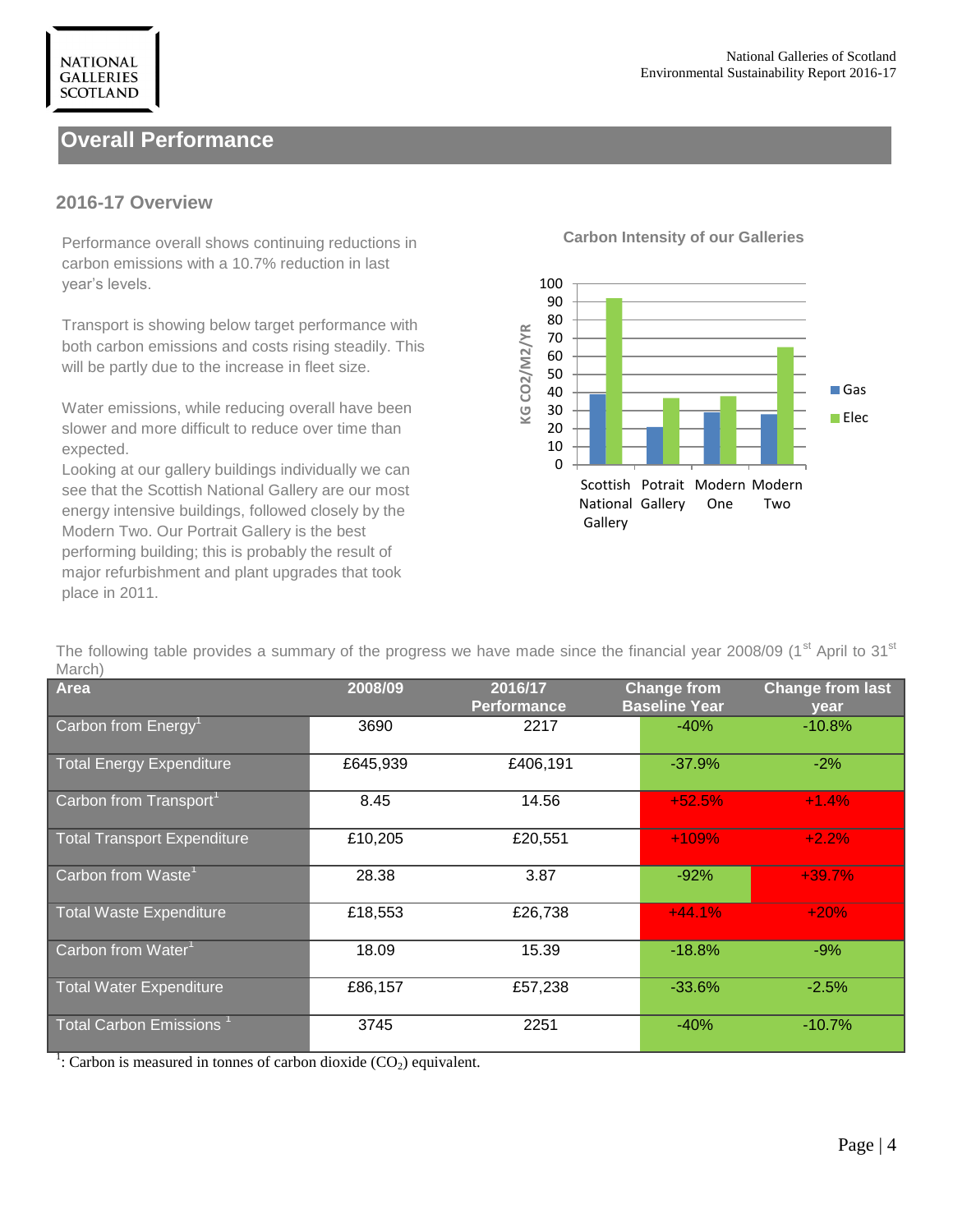# **Overall Performance**

#### **2016-17 Overview**

**NATIONAL GALLERIES SCOTLAND** 

**Carbon Intensity of our Galleries** Performance overall shows continuing reductions in carbon emissions with a 10.7% reduction in last year's levels.

Transport is showing below target performance with both carbon emissions and costs rising steadily. This will be partly due to the increase in fleet size.

Water emissions, while reducing overall have been slower and more difficult to reduce over time than expected.

Looking at our gallery buildings individually we can see that the Scottish National Gallery are our most energy intensive buildings, followed closely by the Modern Two. Our Portrait Gallery is the best performing building; this is probably the result of major refurbishment and plant upgrades that took place in 2011.



The following table provides a summary of the progress we have made since the financial year 2008/09 (1<sup>st</sup> April to 31<sup>st</sup> March)

| IVIUIVII                            |          |                               |                                            |                                 |
|-------------------------------------|----------|-------------------------------|--------------------------------------------|---------------------------------|
| <b>Area</b>                         | 2008/09  | 2016/17<br><b>Performance</b> | <b>Change from</b><br><b>Baseline Year</b> | <b>Change from last</b><br>year |
| Carbon from Energy <sup>1</sup>     | 3690     | 2217                          | $-40%$                                     | $-10.8\%$                       |
| <b>Total Energy Expenditure</b>     | £645,939 | £406,191                      | $-37.9%$                                   | $-2%$                           |
| Carbon from Transport <sup>1</sup>  | 8.45     | 14.56                         | $+52.5%$                                   | $+1.4%$                         |
| <b>Total Transport Expenditure</b>  | £10,205  | £20,551                       | $+109%$                                    | $+2.2%$                         |
| Carbon from Waste <sup>1</sup>      | 28.38    | 3.87                          | $-92%$                                     | $+39.7%$                        |
| <b>Total Waste Expenditure</b>      | £18,553  | £26,738                       | $+44.1%$                                   | $+20%$                          |
| Carbon from Water <sup>1</sup>      | 18.09    | 15.39                         | $-18.8%$                                   | $-9%$                           |
| <b>Total Water Expenditure</b>      | £86,157  | £57,238                       | $-33.6%$                                   | $-2.5%$                         |
| Total Carbon Emissions <sup>1</sup> | 3745     | 2251                          | $-40%$                                     | $-10.7%$                        |

<sup>1</sup>: Carbon is measured in tonnes of carbon dioxide  $(CO_2)$  equivalent.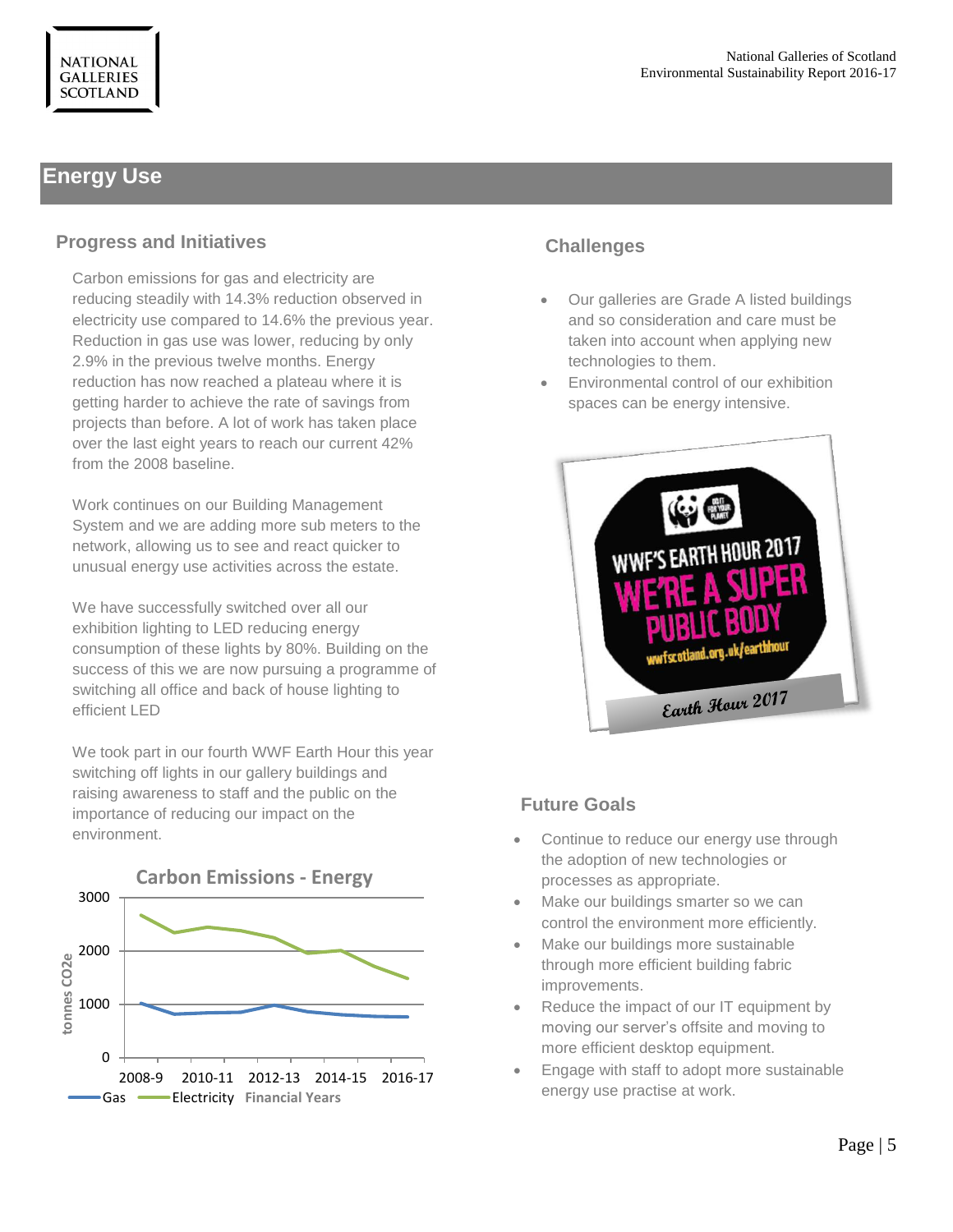# **Energy Use**

### **Progress and Initiatives**

Carbon emissions for gas and electricity are reducing steadily with 14.3% reduction observed in electricity use compared to 14.6% the previous year. Reduction in gas use was lower, reducing by only 2.9% in the previous twelve months. Energy reduction has now reached a plateau where it is getting harder to achieve the rate of savings from projects than before. A lot of work has taken place over the last eight years to reach our current 42% from the 2008 baseline.

Work continues on our Building Management System and we are adding more sub meters to the network, allowing us to see and react quicker to unusual energy use activities across the estate.

We have successfully switched over all our exhibition lighting to LED reducing energy consumption of these lights by 80%. Building on the success of this we are now pursuing a programme of switching all office and back of house lighting to efficient LED

We took part in our fourth WWF Earth Hour this year switching off lights in our gallery buildings and raising awareness to staff and the public on the importance of reducing our impact on the environment.



# **Challenges**

- Our galleries are Grade A listed buildings and so consideration and care must be taken into account when applying new technologies to them.
- Environmental control of our exhibition spaces can be energy intensive.



- Continue to reduce our energy use through the adoption of new technologies or processes as appropriate.
- Make our buildings smarter so we can control the environment more efficiently.
- Make our buildings more sustainable through more efficient building fabric improvements.
- Reduce the impact of our IT equipment by moving our server's offsite and moving to more efficient desktop equipment.
- Engage with staff to adopt more sustainable energy use practise at work.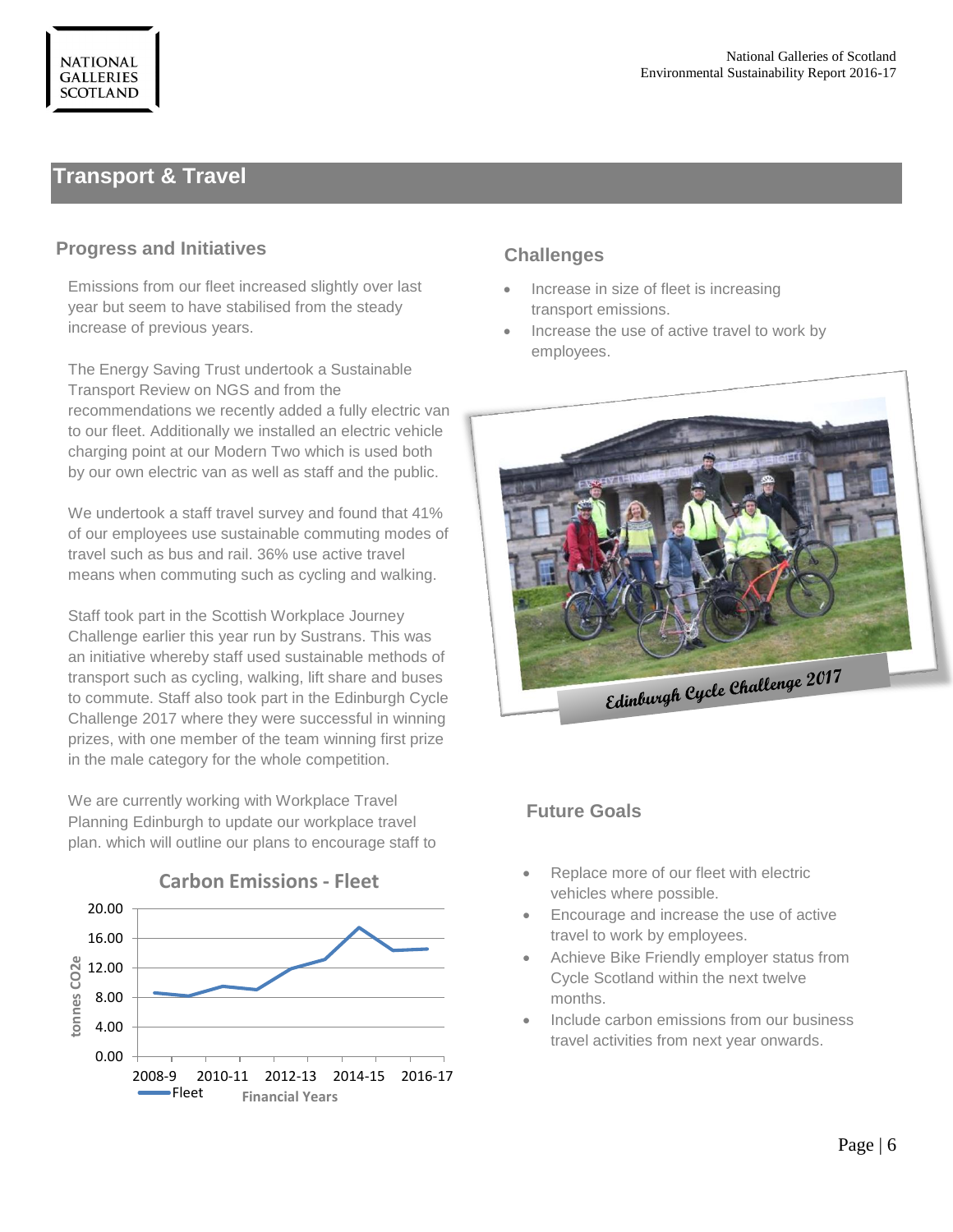# **Transport & Travel**

#### **Progress and Initiatives**

Emissions from our fleet increased slightly over last year but seem to have stabilised from the steady increase of previous years.

The Energy Saving Trust undertook a Sustainable Transport Review on NGS and from the recommendations we recently added a fully electric van to our fleet. Additionally we installed an electric vehicle charging point at our Modern Two which is used both by our own electric van as well as staff and the public.

We undertook a staff travel survey and found that 41% of our employees use sustainable commuting modes of travel such as bus and rail. 36% use active travel means when commuting such as cycling and walking.

Staff took part in the Scottish Workplace Journey Challenge earlier this year run by Sustrans. This was an initiative whereby staff used sustainable methods of transport such as cycling, walking, lift share and buses to commute. Staff also took part in the Edinburgh Cycle Challenge 2017 where they were successful in winning prizes, with one member of the team winning first prize in the male category for the whole competition.

We are currently working with Workplace Travel Planning Edinburgh to update our workplace travel plan. which will outline our plans to encourage staff to



#### **Carbon Emissions - Fleet**

# **Challenges**

- Increase in size of fleet is increasing transport emissions.
- Increase the use of active travel to work by employees.



- Replace more of our fleet with electric vehicles where possible.
- Encourage and increase the use of active travel to work by employees.
- Achieve Bike Friendly employer status from Cycle Scotland within the next twelve months.
- Include carbon emissions from our business travel activities from next year onwards.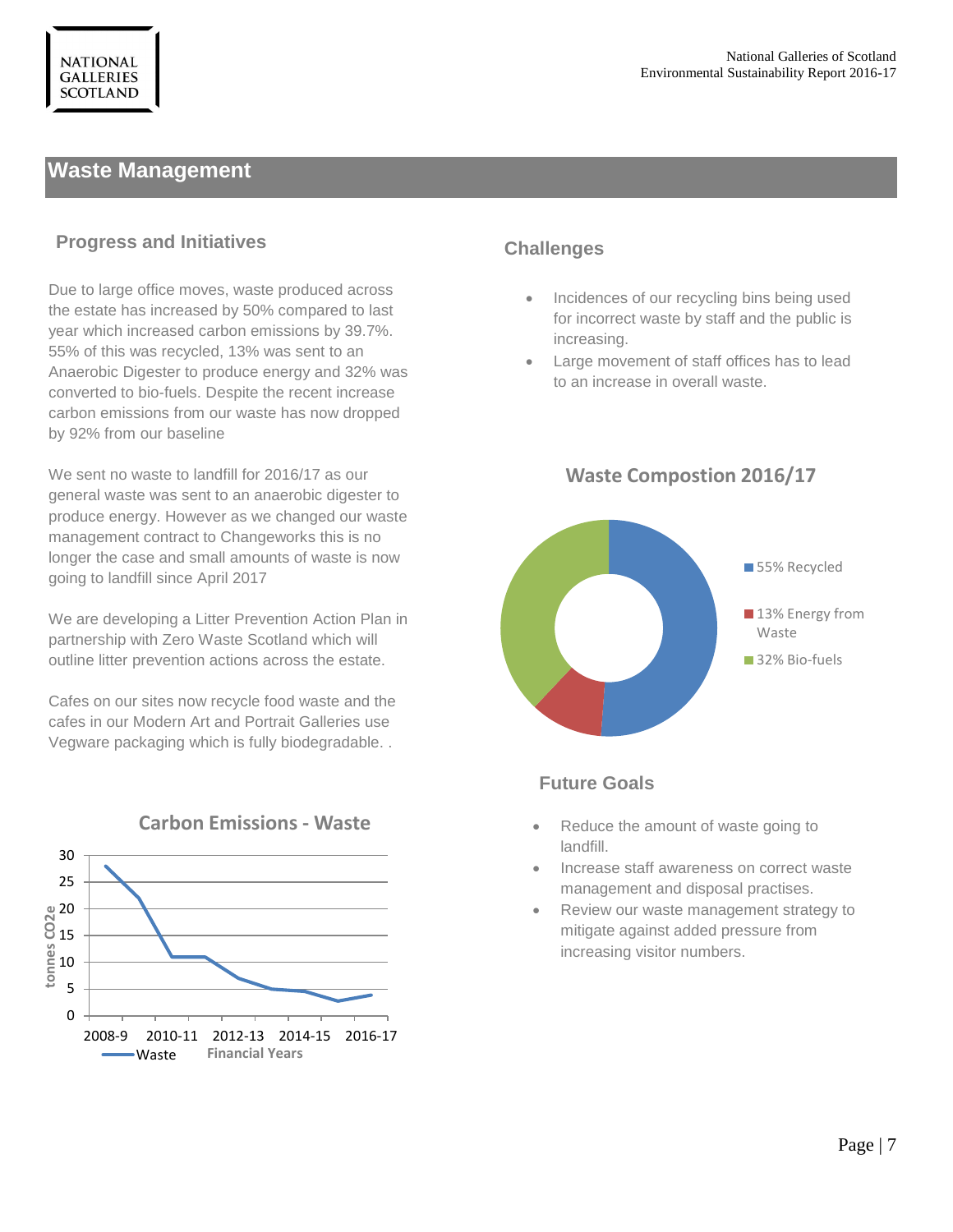# **Waste Management**

#### **Progress and Initiatives**

Due to large office moves, waste produced across the estate has increased by 50% compared to last year which increased carbon emissions by 39.7%. 55% of this was recycled, 13% was sent to an Anaerobic Digester to produce energy and 32% was converted to bio-fuels. Despite the recent increase carbon emissions from our waste has now dropped by 92% from our baseline

We sent no waste to landfill for 2016/17 as our general waste was sent to an anaerobic digester to produce energy. However as we changed our waste management contract to Changeworks this is no longer the case and small amounts of waste is now going to landfill since April 2017

We are developing a Litter Prevention Action Plan in partnership with Zero Waste Scotland which will outline litter prevention actions across the estate.

Cafes on our sites now recycle food waste and the cafes in our Modern Art and Portrait Galleries use Vegware packaging which is fully biodegradable. .



# **Carbon Emissions - Waste**

#### **Challenges**

- **Incidences of our recycling bins being used** for incorrect waste by staff and the public is increasing.
- Large movement of staff offices has to lead to an increase in overall waste.



#### **Waste Compostion 2016/17**

- Reduce the amount of waste going to landfill.
- Increase staff awareness on correct waste management and disposal practises.
- Review our waste management strategy to mitigate against added pressure from increasing visitor numbers.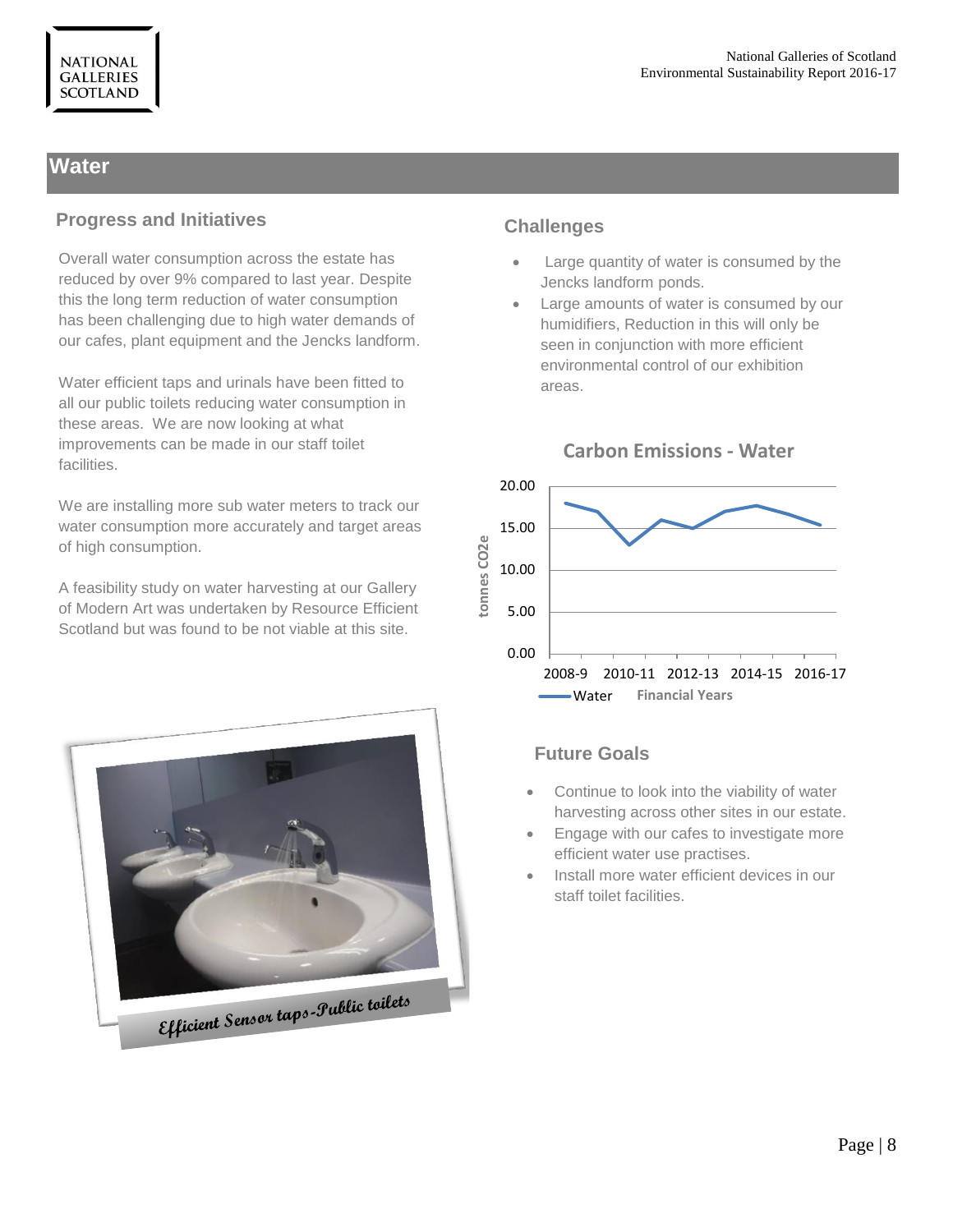# **Water**

#### **Progress and Initiatives**

Overall water consumption across the estate has reduced by over 9% compared to last year. Despite this the long term reduction of water consumption has been challenging due to high water demands of our cafes, plant equipment and the Jencks landform.

Water efficient taps and urinals have been fitted to all our public toilets reducing water consumption in these areas. We are now looking at what improvements can be made in our staff toilet facilities.

We are installing more sub water meters to track our water consumption more accurately and target areas of high consumption.

A feasibility study on water harvesting at our Gallery of Modern Art was undertaken by Resource Efficient Scotland but was found to be not viable at this site.



### **Challenges**

- Large quantity of water is consumed by the Jencks landform ponds.
- Large amounts of water is consumed by our humidifiers, Reduction in this will only be seen in conjunction with more efficient environmental control of our exhibition areas.



# **Carbon Emissions - Water**

- Continue to look into the viability of water harvesting across other sites in our estate.
- Engage with our cafes to investigate more efficient water use practises.
- Install more water efficient devices in our staff toilet facilities.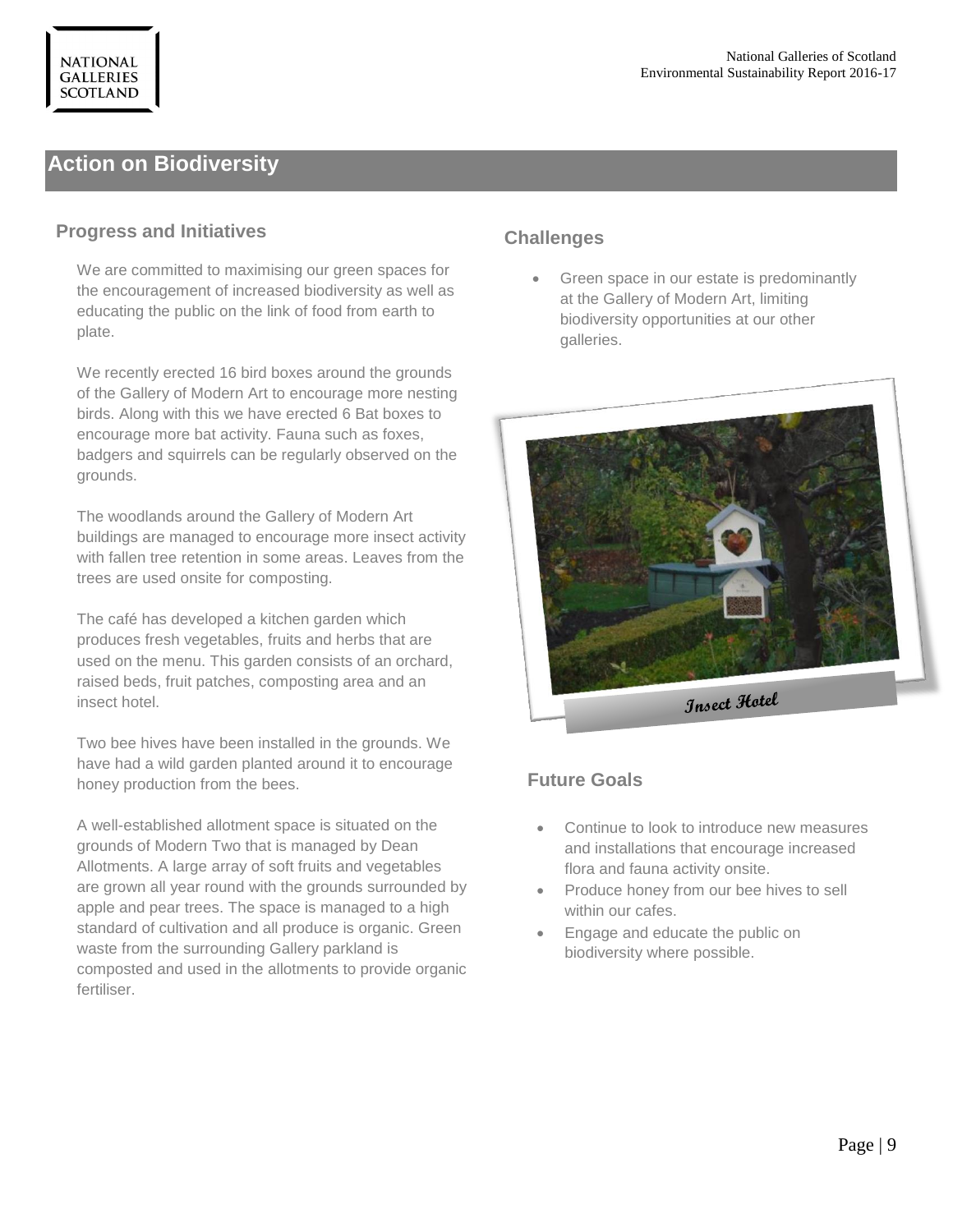# **Action on Biodiversity**

#### **Progress and Initiatives**

We are committed to maximising our green spaces for the encouragement of increased biodiversity as well as educating the public on the link of food from earth to plate.

We recently erected 16 bird boxes around the grounds of the Gallery of Modern Art to encourage more nesting birds. Along with this we have erected 6 Bat boxes to encourage more bat activity. Fauna such as foxes, badgers and squirrels can be regularly observed on the grounds.

The woodlands around the Gallery of Modern Art buildings are managed to encourage more insect activity with fallen tree retention in some areas. Leaves from the trees are used onsite for composting.

The café has developed a kitchen garden which produces fresh vegetables, fruits and herbs that are used on the menu. This garden consists of an orchard, raised beds, fruit patches, composting area and an insect hotel.

Two bee hives have been installed in the grounds. We have had a wild garden planted around it to encourage honey production from the bees.

A well-established allotment space is situated on the grounds of Modern Two that is managed by Dean Allotments. A large array of soft fruits and vegetables are grown all year round with the grounds surrounded by apple and pear trees. The space is managed to a high standard of cultivation and all produce is organic. Green waste from the surrounding Gallery parkland is composted and used in the allotments to provide organic fertiliser.

# **Challenges**

 Green space in our estate is predominantly at the Gallery of Modern Art, limiting biodiversity opportunities at our other galleries.



- Continue to look to introduce new measures and installations that encourage increased flora and fauna activity onsite.
- Produce honey from our bee hives to sell within our cafes.
- Engage and educate the public on biodiversity where possible.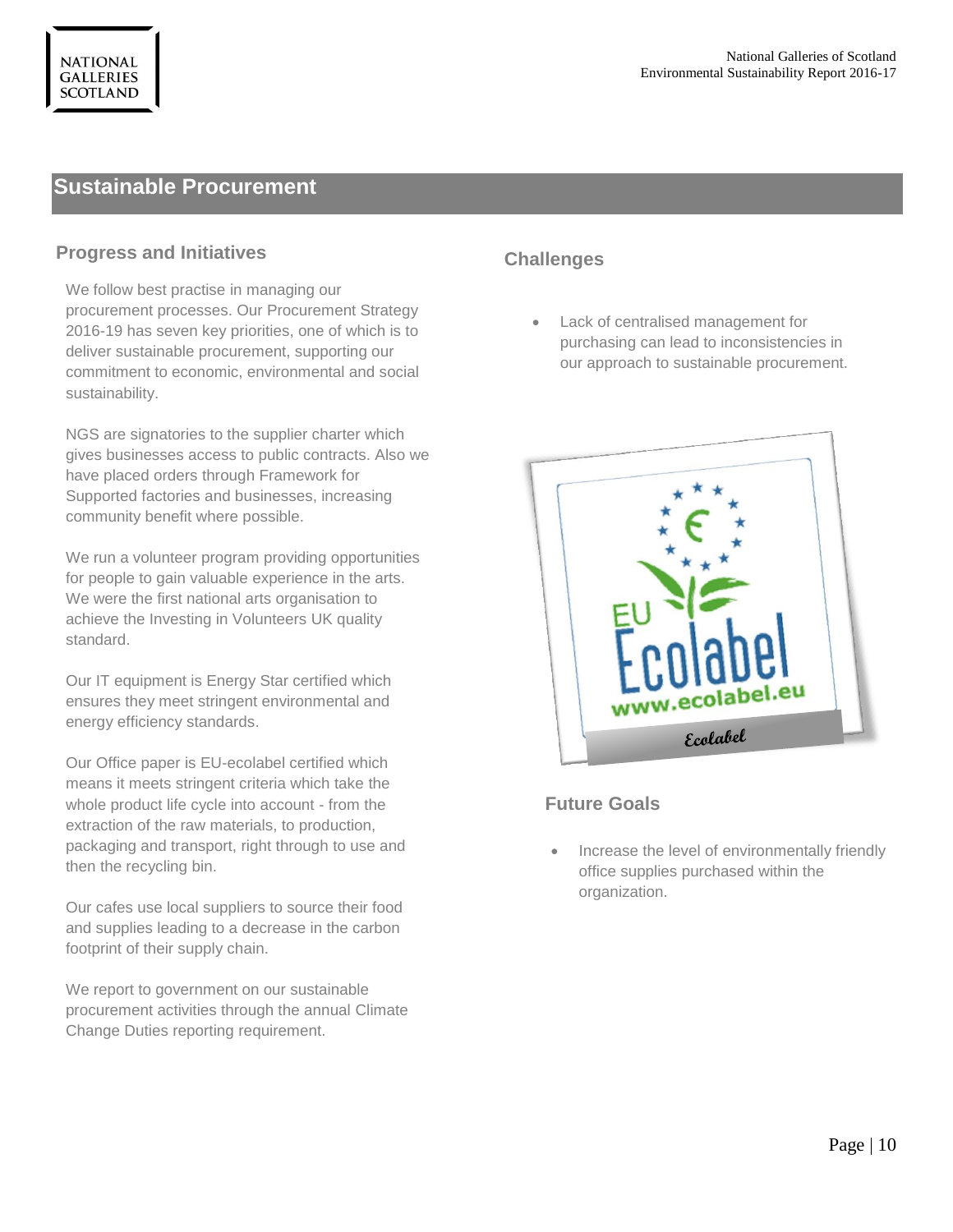# **Sustainable Procurement**

#### **Progress and Initiatives**

We follow best practise in managing our procurement processes. Our Procurement Strategy 2016-19 has seven key priorities, one of which is to deliver sustainable procurement, supporting our commitment to economic, environmental and social sustainability.

NGS are signatories to the supplier charter which gives businesses access to public contracts. Also we have placed orders through Framework for Supported factories and businesses, increasing community benefit where possible.

We run a volunteer program providing opportunities for people to gain valuable experience in the arts. We were the first national arts organisation to achieve the Investing in Volunteers UK quality standard.

Our IT equipment is Energy Star certified which ensures they meet stringent environmental and energy efficiency standards.

Our Office paper is EU-ecolabel certified which means it meets stringent criteria which take the whole product life cycle into account - from the extraction of the raw materials, to production, packaging and transport, right through to use and then the recycling bin.

Our cafes use local suppliers to source their food and supplies leading to a decrease in the carbon footprint of their supply chain.

We report to government on our sustainable procurement activities through the annual Climate Change Duties reporting requirement.

# **Challenges**

 Lack of centralised management for purchasing can lead to inconsistencies in our approach to sustainable procurement.



#### **Future Goals**

 Increase the level of environmentally friendly office supplies purchased within the organization.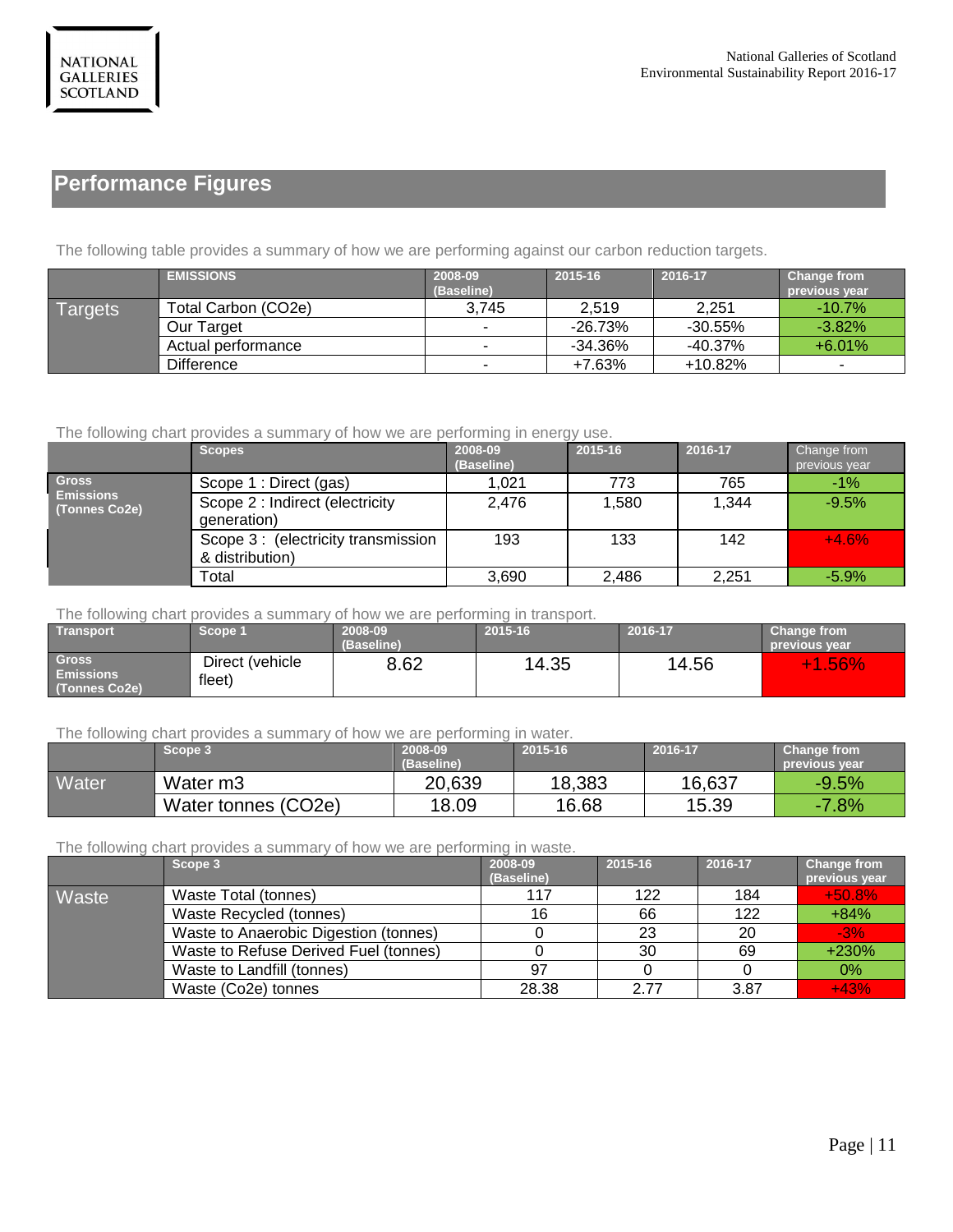# **Performance Figures**

The following table provides a summary of how we are performing against our carbon reduction targets.

|                | <b>EMISSIONS</b>    | 2008-09<br>(Baseline) | 2015-16    | 2016-17    | Change from<br>previous year |
|----------------|---------------------|-----------------------|------------|------------|------------------------------|
| <b>Targets</b> | Total Carbon (CO2e) | 3,745                 | 2,519      | 2,251      | $-10.7\%$                    |
|                | Our Target          |                       | $-26.73%$  | -30.55%    | $-3.82\%$                    |
|                | Actual performance  |                       | $-34.36\%$ | $-40.37\%$ | $+6.01%$                     |
|                | <b>Difference</b>   |                       | $+7.63%$   | $+10.82%$  |                              |

#### The following chart provides a summary of how we are performing in energy use.

|                                     | <b>Scopes</b>                                         | 2008-09<br>(Baseline) | 2015-16 | 2016-17 | <b>Change from</b><br>previous year |
|-------------------------------------|-------------------------------------------------------|-----------------------|---------|---------|-------------------------------------|
| <b>Gross</b>                        | Scope 1 : Direct (gas)                                | 1,021                 | 773     | 765     | $-1%$                               |
| <b>Emissions</b><br>  (Tonnes Co2e) | Scope 2 : Indirect (electricity<br>generation)        | 2,476                 | 1,580   | 1,344   | $-9.5%$                             |
|                                     | Scope 3: (electricity transmission<br>& distribution) | 193                   | 133     | 142     | $+4.6%$                             |
|                                     | Total                                                 | 3,690                 | 2.486   | 2.251   | $-5.9%$                             |

The following chart provides a summary of how we are performing in transport.

| Transport'                                              | Scope 1                   | 2008-09    | 2015-16 | 2016-17 | <b>Change from</b>   |
|---------------------------------------------------------|---------------------------|------------|---------|---------|----------------------|
|                                                         |                           | (Baseline) |         |         | <b>previous</b> vear |
| Gross <sup>1</sup><br><b>Emissions</b><br>(Tonnes Co2e) | Direct (vehicle<br>fleet) | 8.62       | 14.35   | 14.56   | $+1.56%$             |

The following chart provides a summary of how we are performing in water.

|       | Scope 3              | 2008-09<br>(Baseline) | 2015-16 | 2016-17 | Change from<br><b>previous</b> vear |
|-------|----------------------|-----------------------|---------|---------|-------------------------------------|
| Water | Water m <sub>3</sub> | 20,639                | 18,383  | 16,637  | $-9.5%$                             |
|       | Water tonnes (CO2e)  | 18.09                 | 16.68   | 15.39   | $-7.8%$                             |

The following chart provides a summary of how we are performing in waste.

|       | Scope 3                               | 2008-09    | 2015-16 | 2016-17 | <b>Change from</b> |
|-------|---------------------------------------|------------|---------|---------|--------------------|
|       |                                       | (Baseline) |         |         | previous year      |
| Waste | Waste Total (tonnes)                  | 117        | 122     | 184     | $+50.8%$           |
|       | Waste Recycled (tonnes)               | 16         | 66      | 122     | $+84%$             |
|       | Waste to Anaerobic Digestion (tonnes) |            | 23      | 20      | $-3%$              |
|       | Waste to Refuse Derived Fuel (tonnes) |            | 30      | 69      | $+230%$            |
|       | Waste to Landfill (tonnes)            | 97         |         |         | 0%                 |
|       | Waste (Co2e) tonnes                   | 28.38      | 2.77    | 3.87    | $+43%$             |